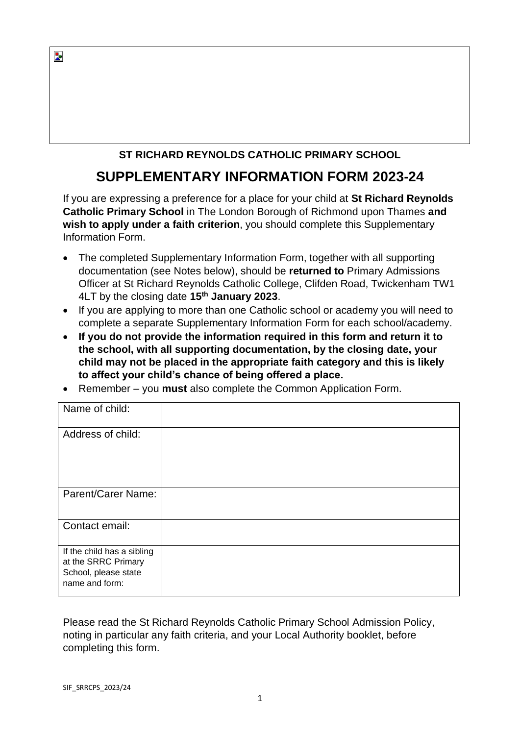# **ST RICHARD REYNOLDS CATHOLIC PRIMARY SCHOOL**

# **SUPPLEMENTARY INFORMATION FORM 2023-24**

If you are expressing a preference for a place for your child at **St Richard Reynolds Catholic Primary School** in The London Borough of Richmond upon Thames **and wish to apply under a faith criterion**, you should complete this Supplementary Information Form.

- The completed Supplementary Information Form, together with all supporting documentation (see Notes below), should be **returned to** Primary Admissions Officer at St Richard Reynolds Catholic College, Clifden Road, Twickenham TW1 4LT by the closing date **15 th January 2023**.
- If you are applying to more than one Catholic school or academy you will need to complete a separate Supplementary Information Form for each school/academy.
- **If you do not provide the information required in this form and return it to the school, with all supporting documentation, by the closing date, your child may not be placed in the appropriate faith category and this is likely to affect your child's chance of being offered a place.**
- Remember you **must** also complete the Common Application Form.

| Name of child:                                                                              |  |
|---------------------------------------------------------------------------------------------|--|
| Address of child:                                                                           |  |
| Parent/Carer Name:                                                                          |  |
| Contact email:                                                                              |  |
| If the child has a sibling<br>at the SRRC Primary<br>School, please state<br>name and form: |  |

Please read the St Richard Reynolds Catholic Primary School Admission Policy, noting in particular any faith criteria, and your Local Authority booklet, before completing this form.

Þ.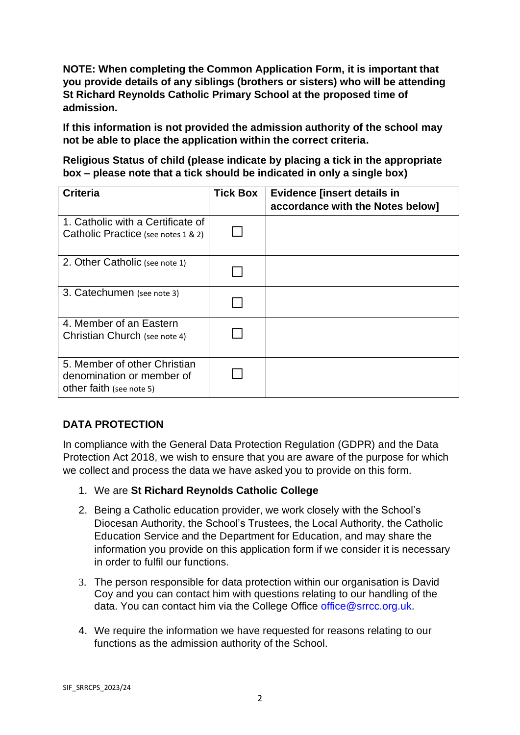**NOTE: When completing the Common Application Form, it is important that you provide details of any siblings (brothers or sisters) who will be attending St Richard Reynolds Catholic Primary School at the proposed time of admission.** 

**If this information is not provided the admission authority of the school may not be able to place the application within the correct criteria.**

**Religious Status of child (please indicate by placing a tick in the appropriate box – please note that a tick should be indicated in only a single box)**

| <b>Criteria</b>                                                                       | <b>Tick Box</b> | <b>Evidence [insert details in</b><br>accordance with the Notes below] |
|---------------------------------------------------------------------------------------|-----------------|------------------------------------------------------------------------|
| 1. Catholic with a Certificate of<br>Catholic Practice (see notes 1 & 2)              |                 |                                                                        |
| 2. Other Catholic (see note 1)                                                        |                 |                                                                        |
| 3. Catechumen (see note 3)                                                            |                 |                                                                        |
| 4. Member of an Eastern<br>Christian Church (see note 4)                              |                 |                                                                        |
| 5. Member of other Christian<br>denomination or member of<br>other faith (see note 5) |                 |                                                                        |

# **DATA PROTECTION**

In compliance with the General Data Protection Regulation (GDPR) and the Data Protection Act 2018, we wish to ensure that you are aware of the purpose for which we collect and process the data we have asked you to provide on this form.

- 1. We are **St Richard Reynolds Catholic College**
- 2. Being a Catholic education provider, we work closely with the School's Diocesan Authority, the School's Trustees, the Local Authority, the Catholic Education Service and the Department for Education, and may share the information you provide on this application form if we consider it is necessary in order to fulfil our functions.
- 3. The person responsible for data protection within our organisation is David Coy and you can contact him with questions relating to our handling of the data. You can contact him via the College Office @ffice@srrcc.org.uk.
- 4. We require the information we have requested for reasons relating to our functions as the admission authority of the School.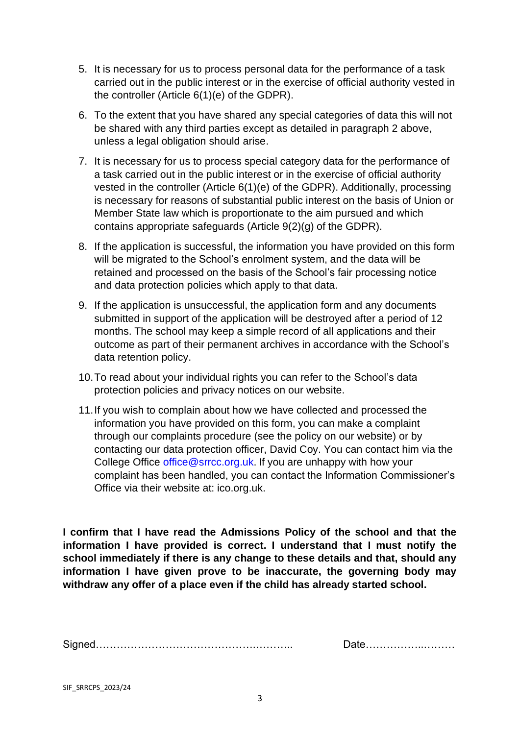- 5. It is necessary for us to process personal data for the performance of a task carried out in the public interest or in the exercise of official authority vested in the controller (Article 6(1)(e) of the GDPR).
- 6. To the extent that you have shared any special categories of data this will not be shared with any third parties except as detailed in paragraph 2 above, unless a legal obligation should arise.
- 7. It is necessary for us to process special category data for the performance of a task carried out in the public interest or in the exercise of official authority vested in the controller (Article 6(1)(e) of the GDPR). Additionally, processing is necessary for reasons of substantial public interest on the basis of Union or Member State law which is proportionate to the aim pursued and which contains appropriate safeguards (Article 9(2)(g) of the GDPR).
- 8. If the application is successful, the information you have provided on this form will be migrated to the School's enrolment system, and the data will be retained and processed on the basis of the School's fair processing notice and data protection policies which apply to that data.
- 9. If the application is unsuccessful, the application form and any documents submitted in support of the application will be destroyed after a period of 12 months. The school may keep a simple record of all applications and their outcome as part of their permanent archives in accordance with the School's data retention policy.
- 10.To read about your individual rights you can refer to the School's data protection policies and privacy notices on our website.
- 11.If you wish to complain about how we have collected and processed the information you have provided on this form, you can make a complaint through our complaints procedure (see the policy on our website) or by contacting our data protection officer, David Coy. You can contact him via the College Office office@srrcc.org.uk. If you are unhappy with how your complaint has been handled, you can contact the Information Commissioner's Office via their website at: ico.org.uk.

**I confirm that I have read the Admissions Policy of the school and that the information I have provided is correct. I understand that I must notify the school immediately if there is any change to these details and that, should any information I have given prove to be inaccurate, the governing body may withdraw any offer of a place even if the child has already started school.**

| - |  |
|---|--|
|---|--|